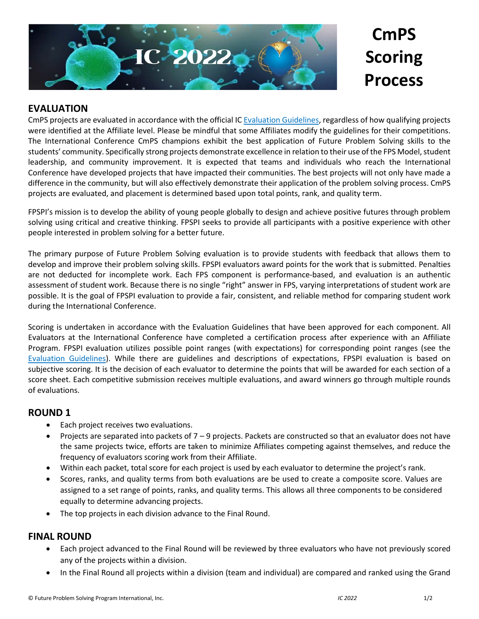

**CmPS Scoring Process**

## **EVALUATION**

CmPS projects are evaluated in accordance with the official I[C Evaluation Guidelines,](https://www.fpspimart.org/product/evaluation-guidelines/) regardless of how qualifying projects were identified at the Affiliate level. Please be mindful that some Affiliates modify the guidelines for their competitions. The International Conference CmPS champions exhibit the best application of Future Problem Solving skills to the students' community. Specifically strong projects demonstrate excellence in relation to their use of the FPS Model, student leadership, and community improvement. It is expected that teams and individuals who reach the International Conference have developed projects that have impacted their communities. The best projects will not only have made a difference in the community, but will also effectively demonstrate their application of the problem solving process. CmPS projects are evaluated, and placement is determined based upon total points, rank, and quality term.

FPSPI's mission is to develop the ability of young people globally to design and achieve positive futures through problem solving using critical and creative thinking. FPSPI seeks to provide all participants with a positive experience with other people interested in problem solving for a better future.

The primary purpose of Future Problem Solving evaluation is to provide students with feedback that allows them to develop and improve their problem solving skills. FPSPI evaluators award points for the work that is submitted. Penalties are not deducted for incomplete work. Each FPS component is performance-based, and evaluation is an authentic assessment of student work. Because there is no single "right" answer in FPS, varying interpretations of student work are possible. It is the goal of FPSPI evaluation to provide a fair, consistent, and reliable method for comparing student work during the International Conference.

Scoring is undertaken in accordance with the Evaluation Guidelines that have been approved for each component. All Evaluators at the International Conference have completed a certification process after experience with an Affiliate Program. FPSPI evaluation utilizes possible point ranges (with expectations) for corresponding point ranges (see the [Evaluation Guidelines\)](https://www.fpspimart.org/product/evaluation-guidelines/). While there are guidelines and descriptions of expectations, FPSPI evaluation is based on subjective scoring. It is the decision of each evaluator to determine the points that will be awarded for each section of a score sheet. Each competitive submission receives multiple evaluations, and award winners go through multiple rounds of evaluations.

### **ROUND 1**

- Each project receives two evaluations.
- Projects are separated into packets of  $7 9$  projects. Packets are constructed so that an evaluator does not have the same projects twice, efforts are taken to minimize Affiliates competing against themselves, and reduce the frequency of evaluators scoring work from their Affiliate.
- Within each packet, total score for each project is used by each evaluator to determine the project's rank.
- Scores, ranks, and quality terms from both evaluations are be used to create a composite score. Values are assigned to a set range of points, ranks, and quality terms. This allows all three components to be considered equally to determine advancing projects.
- The top projects in each division advance to the Final Round.

### **FINAL ROUND**

- Each project advanced to the Final Round will be reviewed by three evaluators who have not previously scored any of the projects within a division.
- In the Final Round all projects within a division (team and individual) are compared and ranked using the Grand